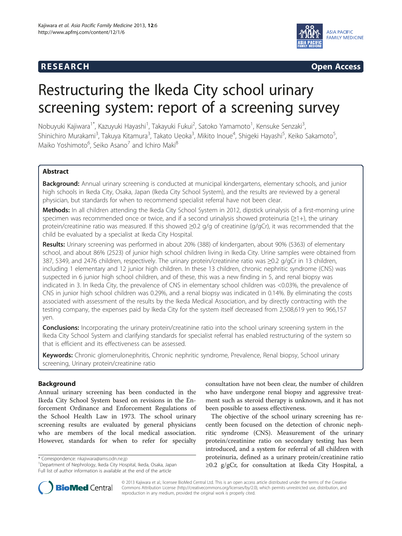## **RESEARCH CHINESEARCH CHINESEARCH CHINESE**



# Restructuring the Ikeda City school urinary screening system: report of a screening survey

Nobuyuki Kajiwara<sup>1\*</sup>, Kazuyuki Hayashi<sup>1</sup>, Takayuki Fukui<sup>2</sup>, Satoko Yamamoto<sup>1</sup>, Kensuke Senzaki<sup>3</sup> , Shinichiro Murakami<sup>3</sup>, Takuya Kitamura<sup>3</sup>, Takato Ueoka<sup>3</sup>, Mikito Inoue<sup>4</sup>, Shigeki Hayashi<sup>5</sup>, Keiko Sakamoto<sup>5</sup> , Maiko Yoshimoto<sup>6</sup>, Seiko Asano<sup>7</sup> and Ichiro Maki<sup>8</sup>

## Abstract

**Background:** Annual urinary screening is conducted at municipal kindergartens, elementary schools, and junior high schools in Ikeda City, Osaka, Japan (Ikeda City School System), and the results are reviewed by a general physician, but standards for when to recommend specialist referral have not been clear.

Methods: In all children attending the Ikeda City School System in 2012, dipstick urinalysis of a first-morning urine specimen was recommended once or twice, and if a second urinalysis showed proteinuria  $(\geq 1+)$ , the urinary protein/creatinine ratio was measured. If this showed ≥0.2 g/g of creatinine (g/gCr), it was recommended that the child be evaluated by a specialist at Ikeda City Hospital.

Results: Urinary screening was performed in about 20% (388) of kindergarten, about 90% (5363) of elementary school, and about 86% (2523) of junior high school children living in Ikeda City. Urine samples were obtained from 387, 5349, and 2476 children, respectively. The urinary protein/creatinine ratio was ≥0.2 g/gCr in 13 children, including 1 elementary and 12 junior high children. In these 13 children, chronic nephritic syndrome (CNS) was suspected in 6 junior high school children, and of these, this was a new finding in 5, and renal biopsy was indicated in 3. In Ikeda City, the prevalence of CNS in elementary school children was <0.03%, the prevalence of CNS in junior high school children was 0.29%, and a renal biopsy was indicated in 0.14%. By eliminating the costs associated with assessment of the results by the Ikeda Medical Association, and by directly contracting with the testing company, the expenses paid by Ikeda City for the system itself decreased from 2,508,619 yen to 966,157 yen.

**Conclusions:** Incorporating the urinary protein/creatinine ratio into the school urinary screening system in the Ikeda City School System and clarifying standards for specialist referral has enabled restructuring of the system so that is efficient and its effectiveness can be assessed.

Keywords: Chronic glomerulonephritis, Chronic nephritic syndrome, Prevalence, Renal biopsy, School urinary screening, Urinary protein/creatinine ratio

## Background

Annual urinary screening has been conducted in the Ikeda City School System based on revisions in the Enforcement Ordinance and Enforcement Regulations of the School Health Law in 1973. The school urinary screening results are evaluated by general physicians who are members of the local medical association. However, standards for when to refer for specialty

\* Correspondence: [nkajiwara@ams.odn.ne.jp](mailto:nkajiwara@ams.odn.ne.jp) <sup>1</sup>

consultation have not been clear, the number of children who have undergone renal biopsy and aggressive treatment such as steroid therapy is unknown, and it has not been possible to assess effectiveness.

The objective of the school urinary screening has recently been focused on the detection of chronic nephritic syndrome (CNS). Measurement of the urinary protein/creatinine ratio on secondary testing has been introduced, and a system for referral of all children with proteinuria, defined as a urinary protein/creatinine ratio ≥0.2 g/gCr, for consultation at Ikeda City Hospital, a



© 2013 Kajiwara et al.; licensee BioMed Central Ltd. This is an open access article distributed under the terms of the Creative Commons Attribution License [\(http://creativecommons.org/licenses/by/2.0\)](http://creativecommons.org/licenses/by/2.0), which permits unrestricted use, distribution, and reproduction in any medium, provided the original work is properly cited.

Department of Nephrology, Ikeda City Hospital, Ikeda, Osaka, Japan Full list of author information is available at the end of the article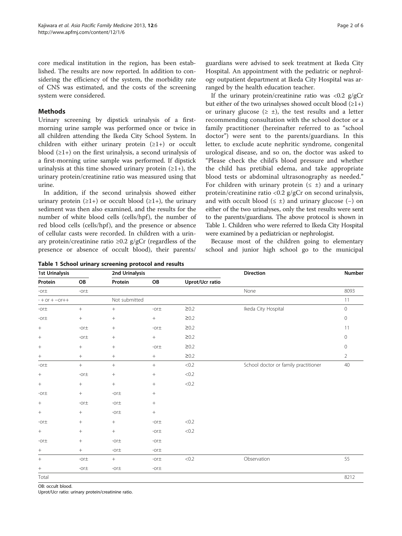<span id="page-1-0"></span>core medical institution in the region, has been established. The results are now reported. In addition to considering the efficiency of the system, the morbidity rate of CNS was estimated, and the costs of the screening system were considered.

#### Methods

Urinary screening by dipstick urinalysis of a firstmorning urine sample was performed once or twice in all children attending the Ikeda City School System. In children with either urinary protein  $(≥1+)$  or occult blood  $(≥1+)$  on the first urinalysis, a second urinalysis of a first-morning urine sample was performed. If dipstick urinalysis at this time showed urinary protein  $(≥1+)$ , the urinary protein/creatinine ratio was measured using that urine.

In addition, if the second urinalysis showed either urinary protein  $(\geq 1+)$  or occult blood  $(\geq 1+)$ , the urinary sediment was then also examined, and the results for the number of white blood cells (cells/hpf), the number of red blood cells (cells/hpf), and the presence or absence of cellular casts were recorded. In children with a urinary protein/creatinine ratio ≥0.2 g/gCr (regardless of the presence or absence of occult blood), their parents/

guardians were advised to seek treatment at Ikeda City Hospital. An appointment with the pediatric or nephrology outpatient department at Ikeda City Hospital was arranged by the health education teacher.

If the urinary protein/creatinine ratio was  $\langle 0.2 \rangle$  g/gCr but either of the two urinalyses showed occult blood  $(≥1+)$ or urinary glucose  $(\geq \pm)$ , the test results and a letter recommending consultation with the school doctor or a family practitioner (hereinafter referred to as "school doctor") were sent to the parents/guardians. In this letter, to exclude acute nephritic syndrome, congenital urological disease, and so on, the doctor was asked to "Please check the child's blood pressure and whether the child has pretibial edema, and take appropriate blood tests or abdominal ultrasonography as needed." For children with urinary protein ( $\leq \pm$ ) and a urinary protein/creatinine ratio <0.2 g/gCr on second urinalysis, and with occult blood  $(\leq \pm)$  and urinary glucose (-) on either of the two urinalyses, only the test results were sent to the parents/guardians. The above protocol is shown in Table 1. Children who were referred to Ikeda City Hospital were examined by a pediatrician or nephrologist.

Because most of the children going to elementary school and junior high school go to the municipal

| <b>1st Urinalysis</b> |                 | 2nd Urinalysis |                 |                        | Direction                            | Number         |  |
|-----------------------|-----------------|----------------|-----------------|------------------------|--------------------------------------|----------------|--|
| Protein               | OB              | Protein        | OB              | <b>Uprot/Ucr ratio</b> |                                      |                |  |
| -or $\pm$             | -or $\pm$       |                |                 |                        | None                                 | 8093           |  |
| $- + or + - or++$     |                 | Not submitted  |                 |                        |                                      | 11             |  |
| -or $\pm$             | $+$             | $^{+}$         | -or $\pm$       | $\geq 0.2$             | Ikeda City Hospital                  | $\mathbb O$    |  |
| -or $\pm$             | $\! + \!\!\!\!$ | $+$            |                 | $\geq 0.2$             |                                      | $\mathbb O$    |  |
| $\! +$                | -or $\pm$       | $^{+}$         | -or $\pm$       | $\geq 0.2$             |                                      | 11             |  |
| $+$                   | -or $\pm$       |                | $\! + \!\!\!\!$ | $\geq 0.2$             |                                      | $\mathbf{0}$   |  |
|                       | $^{+}$          | $^{+}$         | -or $\pm$       | $\geq$ 0.2             |                                      | $\circ$        |  |
| $^{+}$                | $^{+}$          | $^{+}$         | $^{+}$          | $\geq 0.2$             |                                      | $\overline{2}$ |  |
| -or $\pm$             | $+$             | $^{+}$         | $\, +$          | < 0.2                  | School doctor or family practitioner | 40             |  |
| $\! +$                | -or $\pm$       |                | $\! + \!\!\!\!$ | $<0.2$                 |                                      |                |  |
| $\boldsymbol{+}$      | $^{+}$          | $+$            | $+$             | $<0.2$                 |                                      |                |  |
| -or $\pm$             | $^{+}$          | -or $\pm$      | $^{+}$          |                        |                                      |                |  |
| $+$                   | $-$ or $\pm$    | -or $\pm$      | $^{+}$          |                        |                                      |                |  |
| $\! +$                | $^{+}$          | -or $\pm$      | $^+$            |                        |                                      |                |  |
| -or $\pm$             | $^{+}$          | $+$            | -or $\pm$       | < 0.2                  |                                      |                |  |
| $\! +$                | $^{+}$          | $^{+}$         | -or $\pm$       | $<0.2$                 |                                      |                |  |
| -or $\pm$             | $^{+}$          | -or $\pm$      | -or $\pm$       |                        |                                      |                |  |
| $+$                   | $^{+}$          | -or $\pm$      | -or $\pm$       |                        |                                      |                |  |
| $\! + \!\!\!\!$       | -or $\pm$       | $+$            | -or $\pm$       | $<0.2$                 | Observation                          | 55             |  |
| $^+$                  | -or $\pm$       | -or $\pm$      | -or $\pm$       |                        |                                      |                |  |
| Total                 |                 |                |                 |                        |                                      | 8212           |  |

Table 1 School urinary screening protocol and results

OB: occult blood.

Uprot/Ucr ratio: urinary protein/creatinine ratio.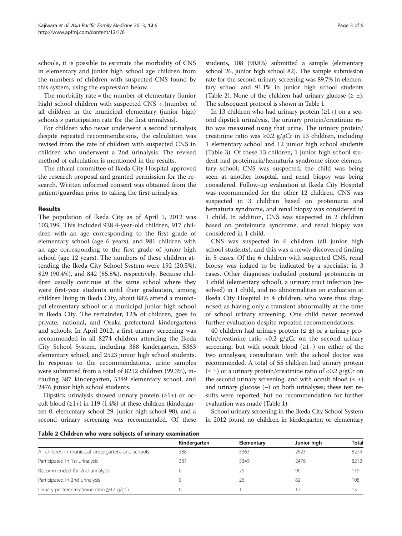schools, it is possible to estimate the morbidity of CNS in elementary and junior high school age children from the numbers of children with suspected CNS found by this system, using the expression below.

The morbidity rate = the number of elementary (junior high) school children with suspected  $CNS \div \{number\}$ all children in the municipal elementary (junior high) schools  $\times$  participation rate for the first urinalysis}.

For children who never underwent a second urinalysis despite repeated recommendations, the calculation was revised from the rate of children with suspected CNS in children who underwent a 2nd urinalysis. The revised method of calculation is mentioned in the results.

The ethical committee of Ikeda City Hospital approved the research proposal and granted permission for the research. Written informed consent was obtained from the patient/guardian prior to taking the first urinalysis.

#### Results

The population of Ikeda City as of April 1, 2012 was 103,199. This included 938 4-year-old children, 917 children with an age corresponding to the first grade of elementary school (age 6 years), and 981 children with an age corresponding to the first grade of junior high school (age 12 years). The numbers of these children attending the Ikeda City School System were 192 (20.5%), 829 (90.4%), and 842 (85.8%), respectively. Because children usually continue at the same school where they were first-year students until their graduation, among children living in Ikeda City, about 88% attend a municipal elementary school or a municipal junior high school in Ikeda City. The remainder, 12% of children, goes to private, national, and Osaka prefectural kindergartens and schools. In April 2012, a first urinary screening was recommended in all 8274 children attending the Ikeda City School System, including 388 kindergarten, 5363 elementary school, and 2523 junior high school students. In response to the recommendations, urine samples were submitted from a total of 8212 children (99.3%), including 387 kindergarten, 5349 elementary school, and 2476 junior high school students.

Dipstick urinalysis showed urinary protein  $(\geq 1+)$  or occult blood  $(\geq 1+)$  in 119 (1.4%) of these children (kindergarten 0, elementary school 29, junior high school 90), and a second urinary screening was recommended. Of these students, 108 (90.8%) submitted a sample (elementary school 26, junior high school 82). The sample submission rate for the second urinary screening was 89.7% in elementary school and 91.1% in junior high school students (Table 2). None of the children had urinary glucose ( $\geq \pm$ ). The subsequent protocol is shown in Table [1.](#page-1-0)

In 13 children who had urinary protein  $(\geq 1+)$  on a second dipstick urinalysis, the urinary protein/creatinine ratio was measured using that urine. The urinary protein/ creatinine ratio was ≥0.2 g/gCr in 13 children, including 1 elementary school and 12 junior high school students (Table [3](#page-3-0)). Of these 13 children, 1 junior high school student had proteinuria/hematuria syndrome since elementary school; CNS was suspected, the child was being seen at another hospital, and renal biopsy was being considered. Follow-up evaluation at Ikeda City Hospital was recommended for the other 12 children. CNS was suspected in 3 children based on proteinuria and hematuria syndrome, and renal biopsy was considered in 1 child. In addition, CNS was suspected in 2 children based on proteinuria syndrome, and renal biopsy was considered in 1 child.

CNS was suspected in 6 children (all junior high school students), and this was a newly discovered finding in 5 cases. Of the 6 children with suspected CNS, renal biopsy was judged to be indicated by a specialist in 3 cases. Other diagnoses included postural proteinuria in 1 child (elementary school), a urinary tract infection (resolved) in 1 child, and no abnormalities on evaluation at Ikeda City Hospital in 4 children, who were thus diagnosed as having only a transient abnormality at the time of school urinary screening. One child never received further evaluation despite repeated recommendations.

40 children had urinary protein ( $\leq \pm$ ) or a urinary protein/creatinine ratio <0.2  $g/gCr$  on the second urinary screening, but with occult blood  $(21+)$  on either of the two urinalyses; consultation with the school doctor was recommended. A total of 55 children had urinary protein  $(\leq \pm)$  or a urinary protein/creatinine ratio of <0.2 g/gCr on the second urinary screening, and with occult blood  $(\leq \pm)$ and urinary glucose (−) on both urinalyses; these test results were reported, but no recommendation for further evaluation was made (Table [1\)](#page-1-0).

School urinary screening in the Ikeda City School System in 2012 found no children in kindergarten or elementary

Table 2 Children who were subjects of urinary examination

|                                                     | Kindergarten | Elementary | Junior high | Total |
|-----------------------------------------------------|--------------|------------|-------------|-------|
| All children in municipal kindergartens and schools | 388          | 5363       | 2523        | 8274  |
| Participated in 1st urinalysis                      | 387          | 5349       | 2476        | 8212  |
| Recommended for 2nd urinalysis                      |              | 29         | 90          | 119   |
| Participated in 2nd urinalysis                      |              | 26         | 82          | 108   |
| Urinary protein/creatinine ratio ≥0.2 g/gCr         |              |            | 12          |       |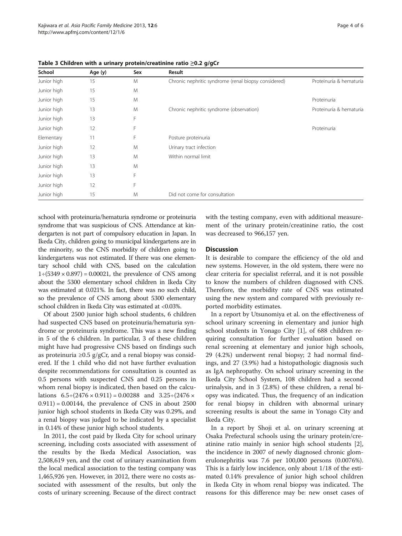| School      | Age (y) | Sex | Result                                               |                         |
|-------------|---------|-----|------------------------------------------------------|-------------------------|
| Junior high | 15      | M   | Chronic nephritic syndrome (renal biopsy considered) | Proteinuria & hematuria |
| Junior high | 15      | M   |                                                      |                         |
| Junior high | 15      | M   |                                                      | Proteinuria             |
| Junior high | 13      | M   | Chronic nephritic syndrome (observation)             | Proteinuria & hematuria |
| Junior high | 13      | F   |                                                      |                         |
| Junior high | 12      | F   |                                                      | Proteinuria             |
| Elementary  | 11      | F   | Posture proteinuria                                  |                         |
| Junior high | 12      | M   | Urinary tract infection                              |                         |
| Junior high | 13      | M   | Within normal limit                                  |                         |
| Junior high | 13      | M   |                                                      |                         |
| Junior high | 13      | F   |                                                      |                         |
| Junior high | 12      | F   |                                                      |                         |
| Junior high | 15      | M   | Did not come for consultation                        |                         |

<span id="page-3-0"></span>Table 3 Children with a urinary protein/creatinine ratio ≥0.2 g/gCr

school with proteinuria/hematuria syndrome or proteinuria syndrome that was suspicious of CNS. Attendance at kindergarten is not part of compulsory education in Japan. In Ikeda City, children going to municipal kindergartens are in the minority, so the CNS morbidity of children going to kindergartens was not estimated. If there was one elementary school child with CNS, based on the calculation  $1\div(5349\times0.897) = 0.00021$ , the prevalence of CNS among about the 5300 elementary school children in Ikeda City was estimated at 0.021%. In fact, there was no such child, so the prevalence of CNS among about 5300 elementary school children in Ikeda City was estimated at <0.03%.

Of about 2500 junior high school students, 6 children had suspected CNS based on proteinuria/hematuria syndrome or proteinuria syndrome. This was a new finding in 5 of the 6 children. In particular, 3 of these children might have had progressive CNS based on findings such as proteinuria ≥0.5 g/gCr, and a renal biopsy was considered. If the 1 child who did not have further evaluation despite recommendations for consultation is counted as 0.5 persons with suspected CNS and 0.25 persons in whom renal biopsy is indicated, then based on the calculations  $6.5 \div (2476 \times 0.911) = 0.00288$  and  $3.25 \div (2476 \times 1.911)$  $(0.911) = 0.00144$ , the prevalence of CNS in about 2500 junior high school students in Ikeda City was 0.29%, and a renal biopsy was judged to be indicated by a specialist in 0.14% of these junior high school students.

In 2011, the cost paid by Ikeda City for school urinary screening, including costs associated with assessment of the results by the Ikeda Medical Association, was 2,508,619 yen, and the cost of urinary examination from the local medical association to the testing company was 1,465,926 yen. However, in 2012, there were no costs associated with assessment of the results, but only the costs of urinary screening. Because of the direct contract

with the testing company, even with additional measurement of the urinary protein/creatinine ratio, the cost was decreased to 966,157 yen.

#### **Discussion**

It is desirable to compare the efficiency of the old and new systems. However, in the old system, there were no clear criteria for specialist referral, and it is not possible to know the numbers of children diagnosed with CNS. Therefore, the morbidity rate of CNS was estimated using the new system and compared with previously reported morbidity estimates.

In a report by Utsunomiya et al. on the effectiveness of school urinary screening in elementary and junior high school students in Yonago City [\[1](#page-5-0)], of 688 children requiring consultation for further evaluation based on renal screening at elementary and junior high schools, 29 (4.2%) underwent renal biopsy; 2 had normal findings, and 27 (3.9%) had a histopathologic diagnosis such as IgA nephropathy. On school urinary screening in the Ikeda City School System, 108 children had a second urinalysis, and in 3 (2.8%) of these children, a renal biopsy was indicated. Thus, the frequency of an indication for renal biopsy in children with abnormal urinary screening results is about the same in Yonago City and Ikeda City.

In a report by Shoji et al. on urinary screening at Osaka Prefectural schools using the urinary protein/creatinine ratio mainly in senior high school students [\[2](#page-5-0)], the incidence in 2007 of newly diagnosed chronic glomerulonephritis was 7.6 per 100,000 persons (0.0076%). This is a fairly low incidence, only about 1/18 of the estimated 0.14% prevalence of junior high school children in Ikeda City in whom renal biopsy was indicated. The reasons for this difference may be: new onset cases of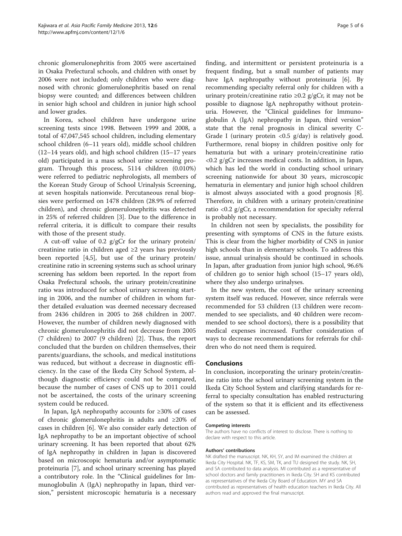chronic glomerulonephritis from 2005 were ascertained in Osaka Prefectural schools, and children with onset by 2006 were not included; only children who were diagnosed with chronic glomerulonephritis based on renal biopsy were counted; and differences between children in senior high school and children in junior high school and lower grades.

In Korea, school children have undergone urine screening tests since 1998. Between 1999 and 2008, a total of 47,047,545 school children, including elementary school children (6–11 years old), middle school children (12–14 years old), and high school children (15–17 years old) participated in a mass school urine screening program. Through this process, 5114 children (0.010%) were referred to pediatric nephrologists, all members of the Korean Study Group of School Urinalysis Screening, at seven hospitals nationwide. Percutaneous renal biopsies were performed on 1478 children (28.9% of referred children), and chronic glomerulonephritis was detected in 25% of referred children [\[3](#page-5-0)]. Due to the difference in referral criteria, it is difficult to compare their results with those of the present study.

A cut-off value of 0.2 g/gCr for the urinary protein/ creatinine ratio in children aged ≥2 years has previously been reported [\[4,5](#page-5-0)], but use of the urinary protein/ creatinine ratio in screening systems such as school urinary screening has seldom been reported. In the report from Osaka Prefectural schools, the urinary protein/creatinine ratio was introduced for school urinary screening starting in 2006, and the number of children in whom further detailed evaluation was deemed necessary decreased from 2436 children in 2005 to 268 children in 2007. However, the number of children newly diagnosed with chronic glomerulonephritis did not decrease from 2005 (7 children) to 2007 (9 children) [[2\]](#page-5-0). Thus, the report concluded that the burden on children themselves, their parents/guardians, the schools, and medical institutions was reduced, but without a decrease in diagnostic efficiency. In the case of the Ikeda City School System, although diagnostic efficiency could not be compared, because the number of cases of CNS up to 2011 could not be ascertained, the costs of the urinary screening system could be reduced.

In Japan, IgA nephropathy accounts for ≥30% of cases of chronic glomerulonephritis in adults and ≥20% of cases in children [[6](#page-5-0)]. We also consider early detection of IgA nephropathy to be an important objective of school urinary screening. It has been reported that about 62% of IgA nephropathy in children in Japan is discovered based on microscopic hematuria and/or asymptomatic proteinuria [\[7\]](#page-5-0), and school urinary screening has played a contributory role. In the "Clinical guidelines for Immunoglobulin A (IgA) nephropathy in Japan, third version," persistent microscopic hematuria is a necessary

finding, and intermittent or persistent proteinuria is a frequent finding, but a small number of patients may have IgA nephropathy without proteinuria [\[6](#page-5-0)]. By recommending specialty referral only for children with a urinary protein/creatinine ratio  $\geq 0.2$  g/gCr, it may not be possible to diagnose IgA nephropathy without proteinuria. However, the "Clinical guidelines for Immunoglobulin A (IgA) nephropathy in Japan, third version" state that the renal prognosis in clinical severity C-Grade I (urinary protein <0.5 g/day) is relatively good. Furthermore, renal biopsy in children positive only for hematuria but with a urinary protein/creatinine ratio <0.2 g/gCr increases medical costs. In addition, in Japan, which has led the world in conducting school urinary screening nationwide for about 30 years, microscopic hematuria in elementary and junior high school children is almost always associated with a good prognosis [\[8](#page-5-0)]. Therefore, in children with a urinary protein/creatinine ratio <0.2 g/gCr, a recommendation for specialty referral is probably not necessary.

In children not seen by specialists, the possibility for presenting with symptoms of CNS in the future exists. This is clear from the higher morbidity of CNS in junior high schools than in elementary schools. To address this issue, annual urinalysis should be continued in schools. In Japan, after graduation from junior high school, 96.6% of children go to senior high school (15–17 years old), where they also undergo urinalyses.

In the new system, the cost of the urinary screening system itself was reduced. However, since referrals were recommended for 53 children (13 children were recommended to see specialists, and 40 children were recommended to see school doctors), there is a possibility that medical expenses increased. Further consideration of ways to decrease recommendations for referrals for children who do not need them is required.

#### Conclusions

In conclusion, incorporating the urinary protein/creatinine ratio into the school urinary screening system in the Ikeda City School System and clarifying standards for referral to specialty consultation has enabled restructuring of the system so that it is efficient and its effectiveness can be assessed.

#### Competing interests

The authors have no conflicts of interest to disclose. There is nothing to declare with respect to this article.

#### Authors' contributions

NK drafted the manuscript. NK, KH, SY, and IM examined the children at Ikeda City Hospital. NK, TF, KS, SM, TK, and TU designed the study. NK, SH, and SA contributed to data analysis. MI contributed as a representative of school doctors and family practitioners in Ikeda City. SH and KS contributed as representatives of the Ikeda City Board of Education. MY and SA contributed as representatives of health education teachers in Ikeda City. All authors read and approved the final manuscript.